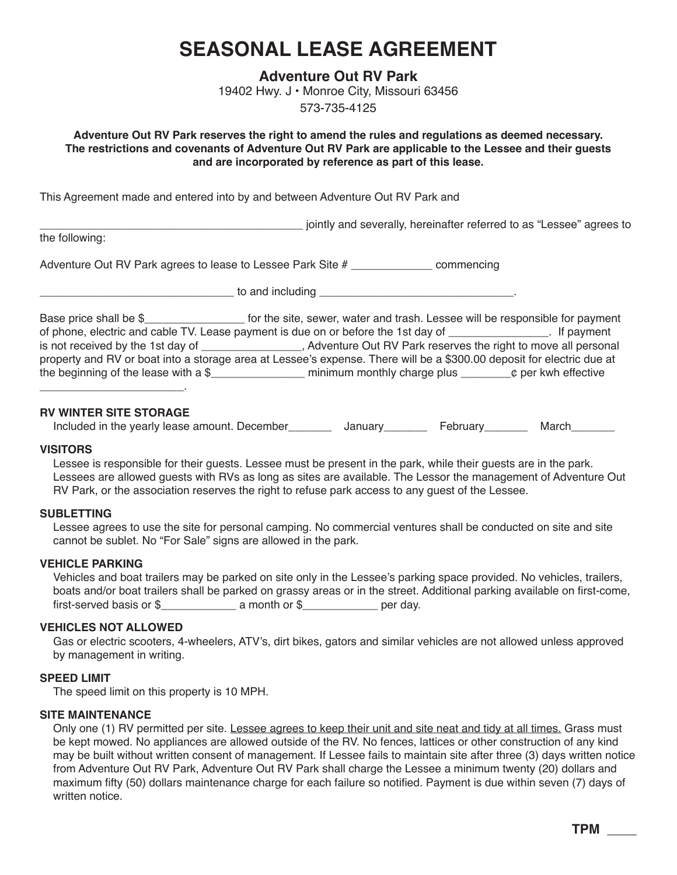# **SEASONAL LEASE AGREEMENT**

**Adventure Out RV Park** 19402 Hwy. J • Monroe City, Missouri 63456

573-735-4125

**Adventure Out RV Park reserves the right to amend the rules and regulations as deemed necessary. The restrictions and covenants of Adventure Out RV Park are applicable to the Lessee and their guests and are incorporated by reference as part of this lease.**

This Agreement made and entered into by and between Adventure Out RV Park and

\_\_\_\_\_\_\_\_\_\_\_\_\_\_\_\_\_\_\_\_\_\_\_\_\_\_\_\_\_\_\_\_\_\_\_\_\_\_\_\_\_\_ jointly and severally, hereinafter referred to as "Lessee" agrees to

the following:

Adventure Out RV Park agrees to lease to Lessee Park Site # \_\_\_\_\_\_\_\_\_\_\_\_\_\_\_\_\_\_\_\_ commencing

\_\_\_\_\_\_\_\_\_\_\_\_\_\_\_\_\_\_\_\_\_\_\_\_\_\_\_\_\_\_\_ to and including \_\_\_\_\_\_\_\_\_\_\_\_\_\_\_\_\_\_\_\_\_\_\_\_\_\_\_\_\_\_\_.

Base price shall be \$ for the site, sewer, water and trash. Lessee will be responsible for payment of phone, electric and cable TV. Lease payment is due on or before the 1st day of \_\_\_\_\_\_\_\_\_\_\_\_. If payment is not received by the 1st day of \_\_\_\_\_\_\_\_\_\_\_\_\_\_\_\_, Adventure Out RV Park reserves the right to move all personal is not received by the 1st day of 2.5 and the 1st Adventure Out RV Park reserves the right to move all personal property and RV or boat into a storage area at Lessee's expense. There will be a \$300.00 deposit for electric due at the beginning of the lease with a  $\frac{1}{2}$  minimum monthly charge plus  $\frac{1}{2}$  per kwh effective

# **RV WINTER SITE STORAGE**

\_\_\_\_\_\_\_\_\_\_\_\_\_\_\_\_\_\_\_\_\_\_\_.

Included in the yearly lease amount. December\_\_\_\_\_\_\_\_\_\_ January\_\_\_\_\_\_\_\_\_ February\_\_\_\_\_\_\_\_ March\_\_\_\_\_\_

#### **VISITORS**

Lessee is responsible for their guests. Lessee must be present in the park, while their guests are in the park. Lessees are allowed guests with RVs as long as sites are available. The Lessor the management of Adventure Out RV Park, or the association reserves the right to refuse park access to any guest of the Lessee.

# **SUBLETTING**

Lessee agrees to use the site for personal camping. No commercial ventures shall be conducted on site and site cannot be sublet. No "For Sale" signs are allowed in the park.

# **VEHICLE PARKING**

Vehicles and boat trailers may be parked on site only in the Lessee's parking space provided. No vehicles, trailers, boats and/or boat trailers shall be parked on grassy areas or in the street. Additional parking available on first-come, first-served basis or \$\_\_\_\_\_\_\_\_\_\_\_\_ a month or \$\_\_\_\_\_\_\_\_\_\_\_\_ per day.

# **VEHICLES NOT ALLOWED**

Gas or electric scooters, 4-wheelers, ATV's, dirt bikes, gators and similar vehicles are not allowed unless approved by management in writing.

# **SPEED LIMIT**

The speed limit on this property is 10 MPH.

# **SITE MAINTENANCE**

Only one (1) RV permitted per site. Lessee agrees to keep their unit and site neat and tidy at all times. Grass must be kept mowed. No appliances are allowed outside of the RV. No fences, lattices or other construction of any kind may be built without written consent of management. If Lessee fails to maintain site after three (3) days written notice from Adventure Out RV Park, Adventure Out RV Park shall charge the Lessee a minimum twenty (20) dollars and maximum fifty (50) dollars maintenance charge for each failure so notified. Payment is due within seven (7) days of written notice.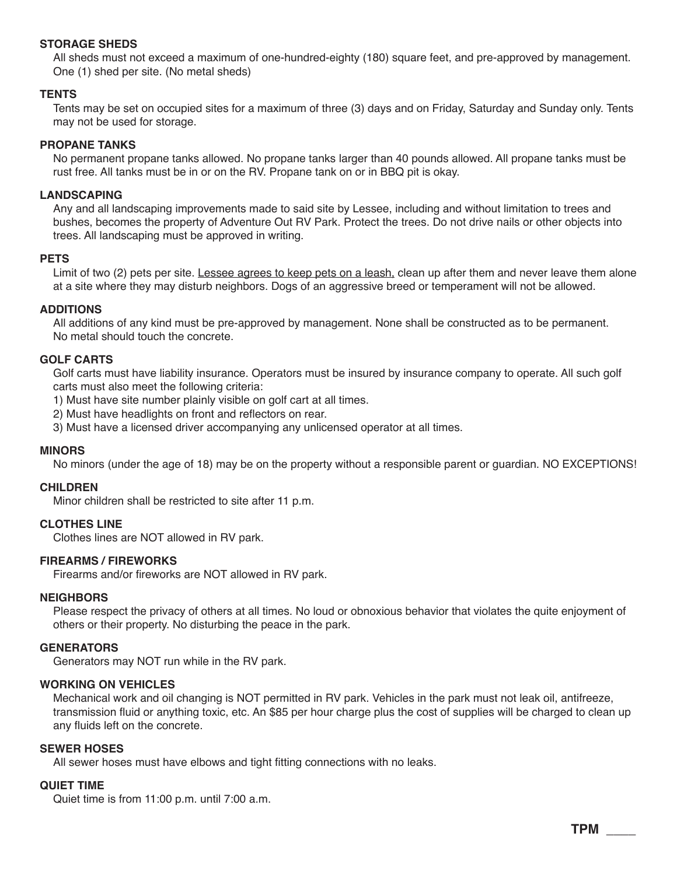## **STORAGE SHEDS**

All sheds must not exceed a maximum of one-hundred-eighty (180) square feet, and pre-approved by management. One (1) shed per site. (No metal sheds)

## **TENTS**

Tents may be set on occupied sites for a maximum of three (3) days and on Friday, Saturday and Sunday only. Tents may not be used for storage.

## **PROPANE TANKS**

No permanent propane tanks allowed. No propane tanks larger than 40 pounds allowed. All propane tanks must be rust free. All tanks must be in or on the RV. Propane tank on or in BBQ pit is okay.

#### **LANDSCAPING**

Any and all landscaping improvements made to said site by Lessee, including and without limitation to trees and bushes, becomes the property of Adventure Out RV Park. Protect the trees. Do not drive nails or other objects into trees. All landscaping must be approved in writing.

#### **PETS**

Limit of two (2) pets per site. Lessee agrees to keep pets on a leash, clean up after them and never leave them alone at a site where they may disturb neighbors. Dogs of an aggressive breed or temperament will not be allowed.

## **ADDITIONS**

All additions of any kind must be pre-approved by management. None shall be constructed as to be permanent. No metal should touch the concrete.

# **GOLF CARTS**

Golf carts must have liability insurance. Operators must be insured by insurance company to operate. All such golf carts must also meet the following criteria:

1) Must have site number plainly visible on golf cart at all times.

2) Must have headlights on front and reflectors on rear.

3) Must have a licensed driver accompanying any unlicensed operator at all times.

# **MINORS**

No minors (under the age of 18) may be on the property without a responsible parent or guardian. NO EXCEPTIONS!

#### **CHILDREN**

Minor children shall be restricted to site after 11 p.m.

# **CLOTHES LINE**

Clothes lines are NOT allowed in RV park.

# **FIREARMS / FIREWORKS**

Firearms and/or fireworks are NOT allowed in RV park.

#### **NEIGHBORS**

Please respect the privacy of others at all times. No loud or obnoxious behavior that violates the quite enjoyment of others or their property. No disturbing the peace in the park.

#### **GENERATORS**

Generators may NOT run while in the RV park.

#### **WORKING ON VEHICLES**

Mechanical work and oil changing is NOT permitted in RV park. Vehicles in the park must not leak oil, antifreeze, transmission fluid or anything toxic, etc. An \$85 per hour charge plus the cost of supplies will be charged to clean up any fluids left on the concrete.

#### **SEWER HOSES**

All sewer hoses must have elbows and tight fitting connections with no leaks.

#### **QUIET TIME**

Quiet time is from 11:00 p.m. until 7:00 a.m.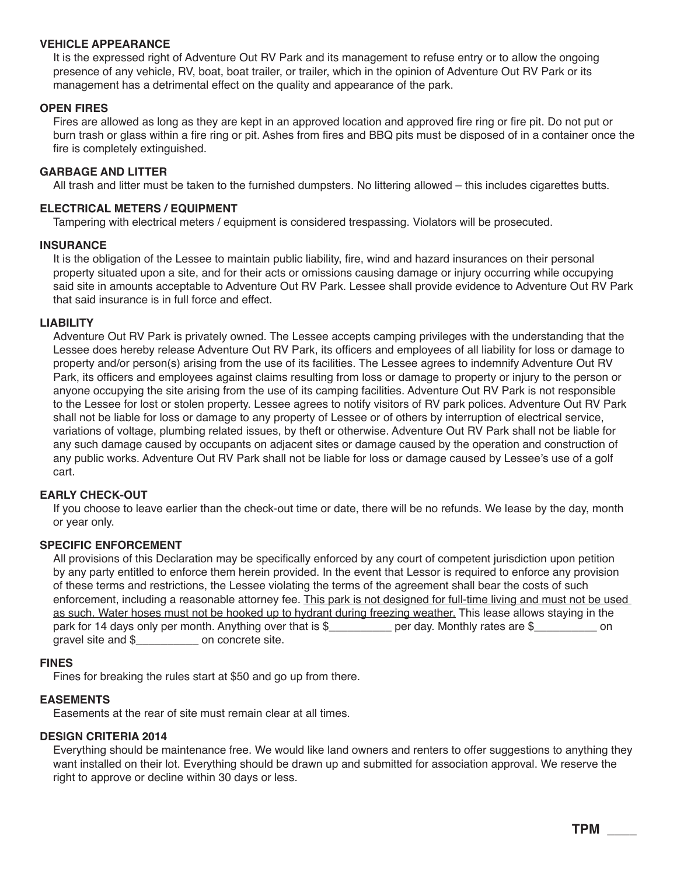#### **VEHICLE APPEARANCE**

It is the expressed right of Adventure Out RV Park and its management to refuse entry or to allow the ongoing presence of any vehicle, RV, boat, boat trailer, or trailer, which in the opinion of Adventure Out RV Park or its management has a detrimental effect on the quality and appearance of the park.

## **OPEN FIRES**

Fires are allowed as long as they are kept in an approved location and approved fire ring or fire pit. Do not put or burn trash or glass within a fire ring or pit. Ashes from fires and BBQ pits must be disposed of in a container once the fire is completely extinguished.

## **GARBAGE AND LITTER**

All trash and litter must be taken to the furnished dumpsters. No littering allowed – this includes cigarettes butts.

## **ELECTRICAL METERS / EQUIPMENT**

Tampering with electrical meters / equipment is considered trespassing. Violators will be prosecuted.

## **INSURANCE**

It is the obligation of the Lessee to maintain public liability, fire, wind and hazard insurances on their personal property situated upon a site, and for their acts or omissions causing damage or injury occurring while occupying said site in amounts acceptable to Adventure Out RV Park. Lessee shall provide evidence to Adventure Out RV Park that said insurance is in full force and effect.

## **LIABILITY**

Adventure Out RV Park is privately owned. The Lessee accepts camping privileges with the understanding that the Lessee does hereby release Adventure Out RV Park, its officers and employees of all liability for loss or damage to property and/or person(s) arising from the use of its facilities. The Lessee agrees to indemnify Adventure Out RV Park, its officers and employees against claims resulting from loss or damage to property or injury to the person or anyone occupying the site arising from the use of its camping facilities. Adventure Out RV Park is not responsible to the Lessee for lost or stolen property. Lessee agrees to notify visitors of RV park polices. Adventure Out RV Park shall not be liable for loss or damage to any property of Lessee or of others by interruption of electrical service, variations of voltage, plumbing related issues, by theft or otherwise. Adventure Out RV Park shall not be liable for any such damage caused by occupants on adjacent sites or damage caused by the operation and construction of any public works. Adventure Out RV Park shall not be liable for loss or damage caused by Lessee's use of a golf cart.

#### **EARLY CHECK-OUT**

If you choose to leave earlier than the check-out time or date, there will be no refunds. We lease by the day, month or year only.

#### **SPECIFIC ENFORCEMENT**

All provisions of this Declaration may be specifically enforced by any court of competent jurisdiction upon petition by any party entitled to enforce them herein provided. In the event that Lessor is required to enforce any provision of these terms and restrictions, the Lessee violating the terms of the agreement shall bear the costs of such enforcement, including a reasonable attorney fee. This park is not designed for full-time living and must not be used as such. Water hoses must not be hooked up to hydrant during freezing weather. This lease allows staying in the park for 14 days only per month. Anything over that is \$\_\_\_\_\_\_\_\_\_ per day. Monthly rates are \$\_\_\_\_\_\_\_\_\_\_\_ on gravel site and \$ on concrete site.

#### **FINES**

Fines for breaking the rules start at \$50 and go up from there.

# **EASEMENTS**

Easements at the rear of site must remain clear at all times.

# **DESIGN CRITERIA 2014**

Everything should be maintenance free. We would like land owners and renters to offer suggestions to anything they want installed on their lot. Everything should be drawn up and submitted for association approval. We reserve the right to approve or decline within 30 days or less.